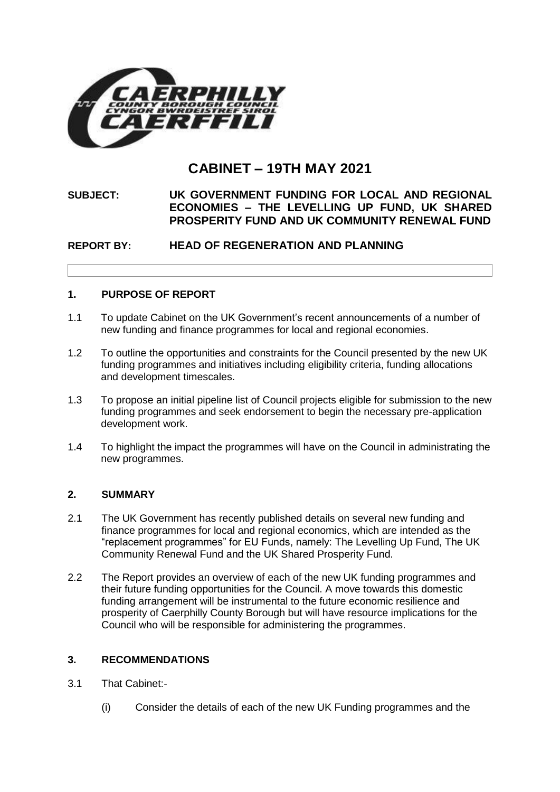

# **CABINET – 19TH MAY 2021**

# **SUBJECT: UK GOVERNMENT FUNDING FOR LOCAL AND REGIONAL ECONOMIES – THE LEVELLING UP FUND, UK SHARED PROSPERITY FUND AND UK COMMUNITY RENEWAL FUND**

# **REPORT BY: HEAD OF REGENERATION AND PLANNING**

# **1. PURPOSE OF REPORT**

- 1.1 To update Cabinet on the UK Government's recent announcements of a number of new funding and finance programmes for local and regional economies.
- 1.2 To outline the opportunities and constraints for the Council presented by the new UK funding programmes and initiatives including eligibility criteria, funding allocations and development timescales.
- 1.3 To propose an initial pipeline list of Council projects eligible for submission to the new funding programmes and seek endorsement to begin the necessary pre-application development work.
- 1.4 To highlight the impact the programmes will have on the Council in administrating the new programmes.

### **2. SUMMARY**

- 2.1 The UK Government has recently published details on several new funding and finance programmes for local and regional economics, which are intended as the "replacement programmes" for EU Funds, namely: The Levelling Up Fund, The UK Community Renewal Fund and the UK Shared Prosperity Fund.
- 2.2 The Report provides an overview of each of the new UK funding programmes and their future funding opportunities for the Council. A move towards this domestic funding arrangement will be instrumental to the future economic resilience and prosperity of Caerphilly County Borough but will have resource implications for the Council who will be responsible for administering the programmes.

## **3. RECOMMENDATIONS**

- 3.1 That Cabinet:-
	- (i) Consider the details of each of the new UK Funding programmes and the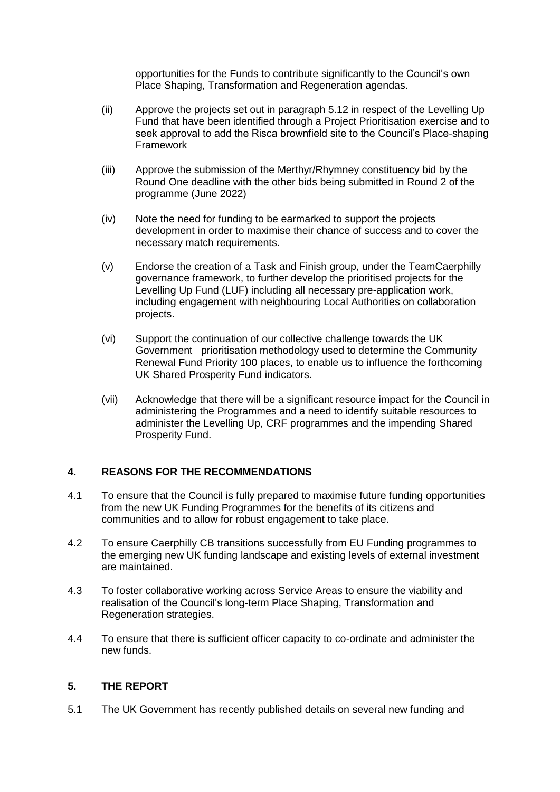opportunities for the Funds to contribute significantly to the Council's own Place Shaping, Transformation and Regeneration agendas.

- (ii) Approve the projects set out in paragraph 5.12 in respect of the Levelling Up Fund that have been identified through a Project Prioritisation exercise and to seek approval to add the Risca brownfield site to the Council's Place-shaping Framework
- (iii) Approve the submission of the Merthyr/Rhymney constituency bid by the Round One deadline with the other bids being submitted in Round 2 of the programme (June 2022)
- (iv) Note the need for funding to be earmarked to support the projects development in order to maximise their chance of success and to cover the necessary match requirements.
- (v) Endorse the creation of a Task and Finish group, under the TeamCaerphilly governance framework, to further develop the prioritised projects for the Levelling Up Fund (LUF) including all necessary pre-application work, including engagement with neighbouring Local Authorities on collaboration projects.
- (vi) Support the continuation of our collective challenge towards the UK Government prioritisation methodology used to determine the Community Renewal Fund Priority 100 places, to enable us to influence the forthcoming UK Shared Prosperity Fund indicators.
- (vii) Acknowledge that there will be a significant resource impact for the Council in administering the Programmes and a need to identify suitable resources to administer the Levelling Up, CRF programmes and the impending Shared Prosperity Fund.

### **4. REASONS FOR THE RECOMMENDATIONS**

- 4.1 To ensure that the Council is fully prepared to maximise future funding opportunities from the new UK Funding Programmes for the benefits of its citizens and communities and to allow for robust engagement to take place.
- 4.2 To ensure Caerphilly CB transitions successfully from EU Funding programmes to the emerging new UK funding landscape and existing levels of external investment are maintained.
- 4.3 To foster collaborative working across Service Areas to ensure the viability and realisation of the Council's long-term Place Shaping, Transformation and Regeneration strategies.
- 4.4 To ensure that there is sufficient officer capacity to co-ordinate and administer the new funds.

### **5. THE REPORT**

5.1 The UK Government has recently published details on several new funding and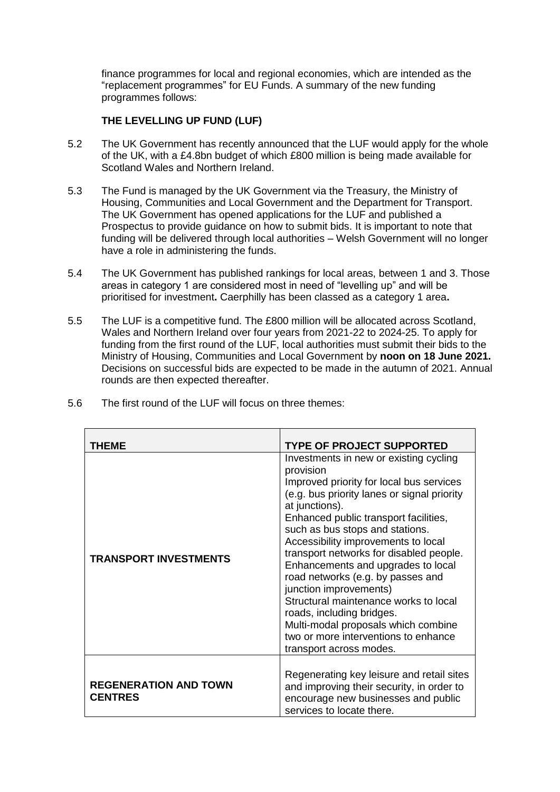finance programmes for local and regional economies, which are intended as the "replacement programmes" for EU Funds. A summary of the new funding programmes follows:

## **THE LEVELLING UP FUND (LUF)**

- 5.2 The UK Government has recently announced that the LUF would apply for the whole of the UK, with a £4.8bn budget of which £800 million is being made available for Scotland Wales and Northern Ireland.
- 5.3 The Fund is managed by the UK Government via the Treasury, the Ministry of Housing, Communities and Local Government and the Department for Transport. The UK Government has opened applications for the LUF and published a Prospectus to provide guidance on how to submit bids. It is important to note that funding will be delivered through local authorities – Welsh Government will no longer have a role in administering the funds.
- 5.4 The UK Government has published rankings for local areas, between 1 and 3. Those areas in category 1 are considered most in need of "levelling up" and will be prioritised for investment**.** Caerphilly has been classed as a category 1 area**.**
- 5.5 The LUF is a competitive fund. The £800 million will be allocated across Scotland, Wales and Northern Ireland over four years from 2021-22 to 2024-25. To apply for funding from the first round of the LUF, local authorities must submit their bids to the Ministry of Housing, Communities and Local Government by **noon on 18 June 2021.**  Decisions on successful bids are expected to be made in the autumn of 2021. Annual rounds are then expected thereafter.

| THEME                                          | <b>TYPE OF PROJECT SUPPORTED</b>                                                                                                                                                                                                                                                                                                                                                                                                                                                                                                                                                                                    |
|------------------------------------------------|---------------------------------------------------------------------------------------------------------------------------------------------------------------------------------------------------------------------------------------------------------------------------------------------------------------------------------------------------------------------------------------------------------------------------------------------------------------------------------------------------------------------------------------------------------------------------------------------------------------------|
| <b>TRANSPORT INVESTMENTS</b>                   | Investments in new or existing cycling<br>provision<br>Improved priority for local bus services<br>(e.g. bus priority lanes or signal priority<br>at junctions).<br>Enhanced public transport facilities,<br>such as bus stops and stations.<br>Accessibility improvements to local<br>transport networks for disabled people.<br>Enhancements and upgrades to local<br>road networks (e.g. by passes and<br>junction improvements)<br>Structural maintenance works to local<br>roads, including bridges.<br>Multi-modal proposals which combine<br>two or more interventions to enhance<br>transport across modes. |
| <b>REGENERATION AND TOWN</b><br><b>CENTRES</b> | Regenerating key leisure and retail sites<br>and improving their security, in order to<br>encourage new businesses and public<br>services to locate there.                                                                                                                                                                                                                                                                                                                                                                                                                                                          |

5.6 The first round of the LUF will focus on three themes: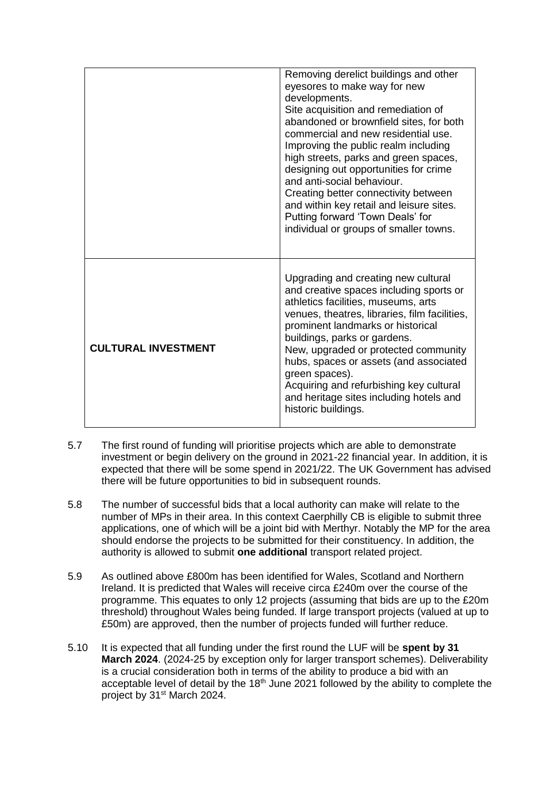|                            | Removing derelict buildings and other<br>eyesores to make way for new<br>developments.<br>Site acquisition and remediation of<br>abandoned or brownfield sites, for both<br>commercial and new residential use.<br>Improving the public realm including<br>high streets, parks and green spaces,<br>designing out opportunities for crime<br>and anti-social behaviour.<br>Creating better connectivity between<br>and within key retail and leisure sites.<br>Putting forward 'Town Deals' for<br>individual or groups of smaller towns. |
|----------------------------|-------------------------------------------------------------------------------------------------------------------------------------------------------------------------------------------------------------------------------------------------------------------------------------------------------------------------------------------------------------------------------------------------------------------------------------------------------------------------------------------------------------------------------------------|
| <b>CULTURAL INVESTMENT</b> | Upgrading and creating new cultural<br>and creative spaces including sports or<br>athletics facilities, museums, arts<br>venues, theatres, libraries, film facilities,<br>prominent landmarks or historical<br>buildings, parks or gardens.<br>New, upgraded or protected community<br>hubs, spaces or assets (and associated<br>green spaces).<br>Acquiring and refurbishing key cultural<br>and heritage sites including hotels and<br>historic buildings.                                                                              |

- 5.7 The first round of funding will prioritise projects which are able to demonstrate investment or begin delivery on the ground in 2021-22 financial year. In addition, it is expected that there will be some spend in 2021/22. The UK Government has advised there will be future opportunities to bid in subsequent rounds.
- 5.8 The number of successful bids that a local authority can make will relate to the number of MPs in their area. In this context Caerphilly CB is eligible to submit three applications, one of which will be a joint bid with Merthyr. Notably the MP for the area should endorse the projects to be submitted for their constituency. In addition, the authority is allowed to submit **one additional** transport related project.
- 5.9 As outlined above £800m has been identified for Wales, Scotland and Northern Ireland. It is predicted that Wales will receive circa £240m over the course of the programme. This equates to only 12 projects (assuming that bids are up to the £20m threshold) throughout Wales being funded. If large transport projects (valued at up to £50m) are approved, then the number of projects funded will further reduce.
- 5.10 It is expected that all funding under the first round the LUF will be **spent by 31 March 2024**. (2024-25 by exception only for larger transport schemes). Deliverability is a crucial consideration both in terms of the ability to produce a bid with an acceptable level of detail by the  $18<sup>th</sup>$  June 2021 followed by the ability to complete the project by 31<sup>st</sup> March 2024.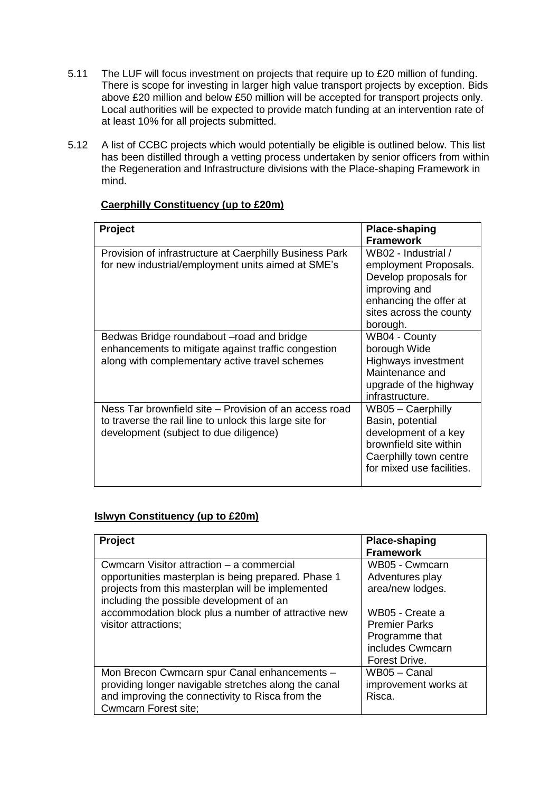- 5.11 The LUF will focus investment on projects that require up to £20 million of funding. There is scope for investing in larger high value transport projects by exception. Bids above £20 million and below £50 million will be accepted for transport projects only. Local authorities will be expected to provide match funding at an intervention rate of at least 10% for all projects submitted.
- 5.12 A list of CCBC projects which would potentially be eligible is outlined below. This list has been distilled through a vetting process undertaken by senior officers from within the Regeneration and Infrastructure divisions with the Place-shaping Framework in mind.

| <b>Project</b>                                                                                                                                              | Place-shaping<br><b>Framework</b>                                                                                                                       |
|-------------------------------------------------------------------------------------------------------------------------------------------------------------|---------------------------------------------------------------------------------------------------------------------------------------------------------|
| Provision of infrastructure at Caerphilly Business Park<br>for new industrial/employment units aimed at SME's                                               | WB02 - Industrial /<br>employment Proposals.<br>Develop proposals for<br>improving and<br>enhancing the offer at<br>sites across the county<br>borough. |
| Bedwas Bridge roundabout - road and bridge<br>enhancements to mitigate against traffic congestion<br>along with complementary active travel schemes         | WB04 - County<br>borough Wide<br><b>Highways investment</b><br>Maintenance and<br>upgrade of the highway<br>infrastructure.                             |
| Ness Tar brownfield site – Provision of an access road<br>to traverse the rail line to unlock this large site for<br>development (subject to due diligence) | WB05 - Caerphilly<br>Basin, potential<br>development of a key<br>brownfield site within<br>Caerphilly town centre<br>for mixed use facilities.          |

# **Caerphilly Constituency (up to £20m)**

### **Islwyn Constituency (up to £20m)**

| <b>Project</b>                                                                                | <b>Place-shaping</b><br><b>Framework</b> |
|-----------------------------------------------------------------------------------------------|------------------------------------------|
| Cwmcarn Visitor attraction – a commercial                                                     | WB05 - Cwmcarn                           |
| opportunities masterplan is being prepared. Phase 1                                           | Adventures play                          |
| projects from this masterplan will be implemented<br>including the possible development of an | area/new lodges.                         |
| accommodation block plus a number of attractive new                                           | WB05 - Create a                          |
| visitor attractions;                                                                          | <b>Premier Parks</b>                     |
|                                                                                               | Programme that                           |
|                                                                                               | includes Cwmcarn                         |
|                                                                                               | Forest Drive.                            |
| Mon Brecon Cwmcarn spur Canal enhancements -                                                  | WB05 - Canal                             |
| providing longer navigable stretches along the canal                                          | improvement works at                     |
| and improving the connectivity to Risca from the                                              | Risca.                                   |
| <b>Cwmcarn Forest site;</b>                                                                   |                                          |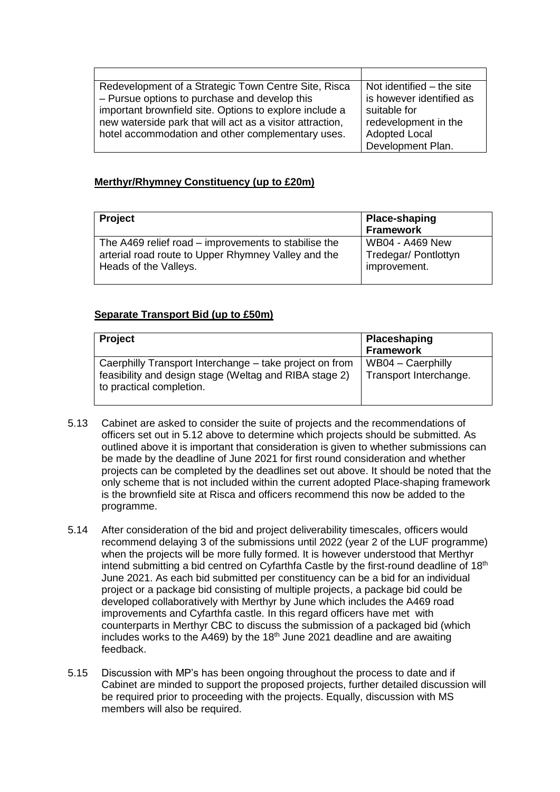| Redevelopment of a Strategic Town Centre Site, Risca      | Not identified $-$ the site |
|-----------------------------------------------------------|-----------------------------|
| - Pursue options to purchase and develop this             | is however identified as    |
| important brownfield site. Options to explore include a   | suitable for                |
| new waterside park that will act as a visitor attraction, | redevelopment in the        |
| hotel accommodation and other complementary uses.         | <b>Adopted Local</b>        |
|                                                           | Development Plan.           |

# **Merthyr/Rhymney Constituency (up to £20m)**

| <b>Project</b>                                       | Place-shaping<br>Framework |
|------------------------------------------------------|----------------------------|
| The A469 relief road – improvements to stabilise the | <b>WB04 - A469 New</b>     |
| arterial road route to Upper Rhymney Valley and the  | Tredegar/ Pontlottyn       |
| Heads of the Valleys.                                | improvement.               |

### **Separate Transport Bid (up to £50m)**

| <b>Project</b>                                                                                                                                | Placeshaping<br><b>Framework</b>              |
|-----------------------------------------------------------------------------------------------------------------------------------------------|-----------------------------------------------|
| Caerphilly Transport Interchange – take project on from<br>feasibility and design stage (Weltag and RIBA stage 2)<br>to practical completion. | $WB04 - Caerphilly$<br>Transport Interchange. |

- 5.13 Cabinet are asked to consider the suite of projects and the recommendations of officers set out in 5.12 above to determine which projects should be submitted. As outlined above it is important that consideration is given to whether submissions can be made by the deadline of June 2021 for first round consideration and whether projects can be completed by the deadlines set out above. It should be noted that the only scheme that is not included within the current adopted Place-shaping framework is the brownfield site at Risca and officers recommend this now be added to the programme.
- 5.14 After consideration of the bid and project deliverability timescales, officers would recommend delaying 3 of the submissions until 2022 (year 2 of the LUF programme) when the projects will be more fully formed. It is however understood that Merthyr intend submitting a bid centred on Cyfarthfa Castle by the first-round deadline of 18<sup>th</sup> June 2021. As each bid submitted per constituency can be a bid for an individual project or a package bid consisting of multiple projects, a package bid could be developed collaboratively with Merthyr by June which includes the A469 road improvements and Cyfarthfa castle. In this regard officers have met with counterparts in Merthyr CBC to discuss the submission of a packaged bid (which includes works to the A469) by the  $18<sup>th</sup>$  June 2021 deadline and are awaiting feedback.
- 5.15 Discussion with MP's has been ongoing throughout the process to date and if Cabinet are minded to support the proposed projects, further detailed discussion will be required prior to proceeding with the projects. Equally, discussion with MS members will also be required.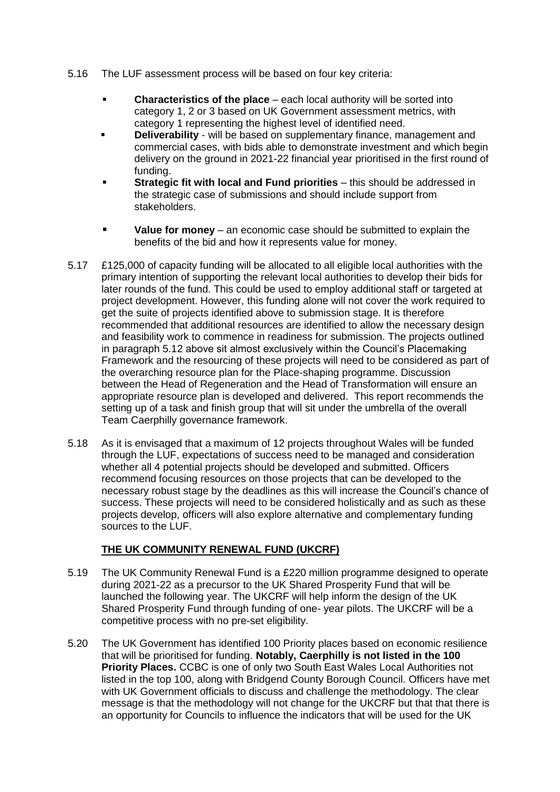- 5.16 The LUF assessment process will be based on four key criteria:
	- **Characteristics of the place** each local authority will be sorted into category 1, 2 or 3 based on UK Government assessment metrics, with category 1 representing the highest level of identified need.
	- **Deliverability** will be based on supplementary finance, management and commercial cases, with bids able to demonstrate investment and which begin delivery on the ground in 2021-22 financial year prioritised in the first round of funding.
	- **Strategic fit with local and Fund priorities** this should be addressed in the strategic case of submissions and should include support from stakeholders.
	- **Value for money** an economic case should be submitted to explain the benefits of the bid and how it represents value for money.
- 5.17 £125,000 of capacity funding will be allocated to all eligible local authorities with the primary intention of supporting the relevant local authorities to develop their bids for later rounds of the fund. This could be used to employ additional staff or targeted at project development. However, this funding alone will not cover the work required to get the suite of projects identified above to submission stage. It is therefore recommended that additional resources are identified to allow the necessary design and feasibility work to commence in readiness for submission. The projects outlined in paragraph 5.12 above sit almost exclusively within the Council's Placemaking Framework and the resourcing of these projects will need to be considered as part of the overarching resource plan for the Place-shaping programme. Discussion between the Head of Regeneration and the Head of Transformation will ensure an appropriate resource plan is developed and delivered. This report recommends the setting up of a task and finish group that will sit under the umbrella of the overall Team Caerphilly governance framework.
- 5.18 As it is envisaged that a maximum of 12 projects throughout Wales will be funded through the LUF, expectations of success need to be managed and consideration whether all 4 potential projects should be developed and submitted. Officers recommend focusing resources on those projects that can be developed to the necessary robust stage by the deadlines as this will increase the Council's chance of success. These projects will need to be considered holistically and as such as these projects develop, officers will also explore alternative and complementary funding sources to the LUF.

# **THE UK COMMUNITY RENEWAL FUND (UKCRF)**

- 5.19 The UK Community Renewal Fund is a £220 million programme designed to operate during 2021-22 as a precursor to the UK Shared Prosperity Fund that will be launched the following year. The UKCRF will help inform the design of the UK Shared Prosperity Fund through funding of one- year pilots. The UKCRF will be a competitive process with no pre-set eligibility.
- 5.20 The UK Government has identified 100 Priority places based on economic resilience that will be prioritised for funding. **Notably, Caerphilly is not listed in the 100 Priority Places.** CCBC is one of only two South East Wales Local Authorities not listed in the top 100, along with Bridgend County Borough Council. Officers have met with UK Government officials to discuss and challenge the methodology. The clear message is that the methodology will not change for the UKCRF but that that there is an opportunity for Councils to influence the indicators that will be used for the UK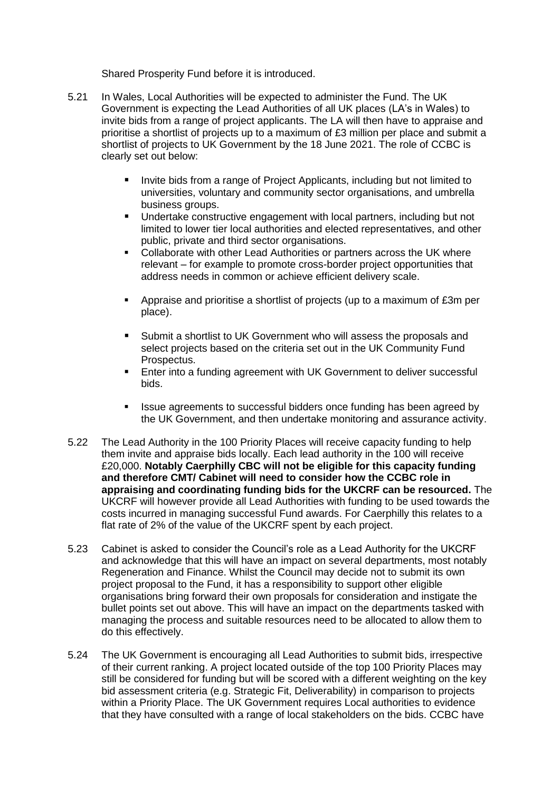Shared Prosperity Fund before it is introduced.

- 5.21 In Wales, Local Authorities will be expected to administer the Fund. The UK Government is expecting the Lead Authorities of all UK places (LA's in Wales) to invite bids from a range of project applicants. The LA will then have to appraise and prioritise a shortlist of projects up to a maximum of £3 million per place and submit a shortlist of projects to UK Government by the 18 June 2021. The role of CCBC is clearly set out below:
	- Invite bids from a range of Project Applicants, including but not limited to universities, voluntary and community sector organisations, and umbrella business groups.
	- Undertake constructive engagement with local partners, including but not limited to lower tier local authorities and elected representatives, and other public, private and third sector organisations.
	- Collaborate with other Lead Authorities or partners across the UK where relevant – for example to promote cross-border project opportunities that address needs in common or achieve efficient delivery scale.
	- **Appraise and prioritise a shortlist of projects (up to a maximum of**  $£3m$  **per** place).
	- Submit a shortlist to UK Government who will assess the proposals and select projects based on the criteria set out in the UK Community Fund Prospectus.
	- Enter into a funding agreement with UK Government to deliver successful bids.
	- Issue agreements to successful bidders once funding has been agreed by the UK Government, and then undertake monitoring and assurance activity.
- 5.22 The Lead Authority in the 100 Priority Places will receive capacity funding to help them invite and appraise bids locally. Each lead authority in the 100 will receive £20,000. **Notably Caerphilly CBC will not be eligible for this capacity funding and therefore CMT/ Cabinet will need to consider how the CCBC role in appraising and coordinating funding bids for the UKCRF can be resourced.** The UKCRF will however provide all Lead Authorities with funding to be used towards the costs incurred in managing successful Fund awards. For Caerphilly this relates to a flat rate of 2% of the value of the UKCRF spent by each project.
- 5.23 Cabinet is asked to consider the Council's role as a Lead Authority for the UKCRF and acknowledge that this will have an impact on several departments, most notably Regeneration and Finance. Whilst the Council may decide not to submit its own project proposal to the Fund, it has a responsibility to support other eligible organisations bring forward their own proposals for consideration and instigate the bullet points set out above. This will have an impact on the departments tasked with managing the process and suitable resources need to be allocated to allow them to do this effectively.
- 5.24 The UK Government is encouraging all Lead Authorities to submit bids, irrespective of their current ranking. A project located outside of the top 100 Priority Places may still be considered for funding but will be scored with a different weighting on the key bid assessment criteria (e.g. Strategic Fit, Deliverability) in comparison to projects within a Priority Place. The UK Government requires Local authorities to evidence that they have consulted with a range of local stakeholders on the bids. CCBC have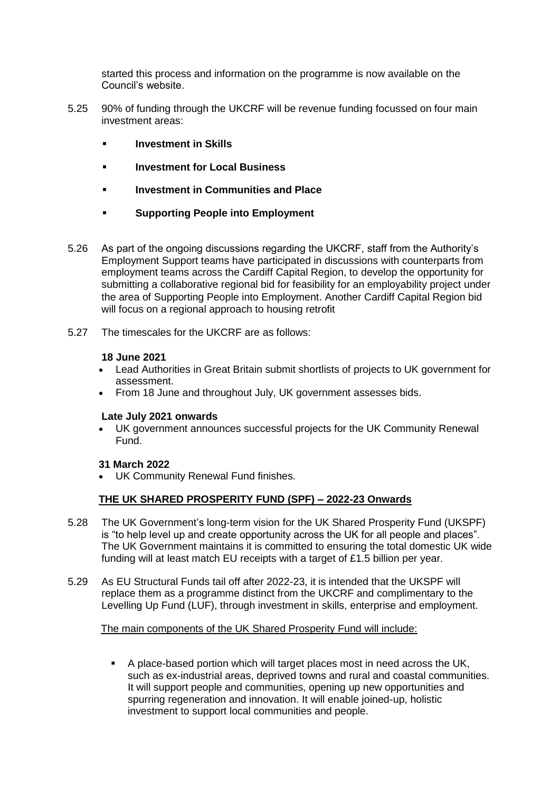started this process and information on the programme is now available on the Council's website.

- 5.25 90% of funding through the UKCRF will be revenue funding focussed on four main investment areas:
	- **Investment in Skills**
	- **Investment for Local Business**
	- **Investment in Communities and Place**
	- **Supporting People into Employment**
- 5.26 As part of the ongoing discussions regarding the UKCRF, staff from the Authority's Employment Support teams have participated in discussions with counterparts from employment teams across the Cardiff Capital Region, to develop the opportunity for submitting a collaborative regional bid for feasibility for an employability project under the area of Supporting People into Employment. Another Cardiff Capital Region bid will focus on a regional approach to housing retrofit
- 5.27 The timescales for the UKCRF are as follows:

#### **18 June 2021**

- Lead Authorities in Great Britain submit shortlists of projects to UK government for assessment.
- From 18 June and throughout July, UK government assesses bids.

#### **Late July 2021 onwards**

 UK government announces successful projects for the UK Community Renewal Fund.

### **31 March 2022**

UK Community Renewal Fund finishes.

### **THE UK SHARED PROSPERITY FUND (SPF) – 2022-23 Onwards**

- 5.28 The UK Government's long-term vision for the UK Shared Prosperity Fund (UKSPF) is "to help level up and create opportunity across the UK for all people and places". The UK Government maintains it is committed to ensuring the total domestic UK wide funding will at least match EU receipts with a target of £1.5 billion per year.
- 5.29 As EU Structural Funds tail off after 2022-23, it is intended that the UKSPF will replace them as a programme distinct from the UKCRF and complimentary to the Levelling Up Fund (LUF), through investment in skills, enterprise and employment.

### The main components of the UK Shared Prosperity Fund will include:

 A place-based portion which will target places most in need across the UK, such as ex-industrial areas, deprived towns and rural and coastal communities. It will support people and communities, opening up new opportunities and spurring regeneration and innovation. It will enable joined-up, holistic investment to support local communities and people.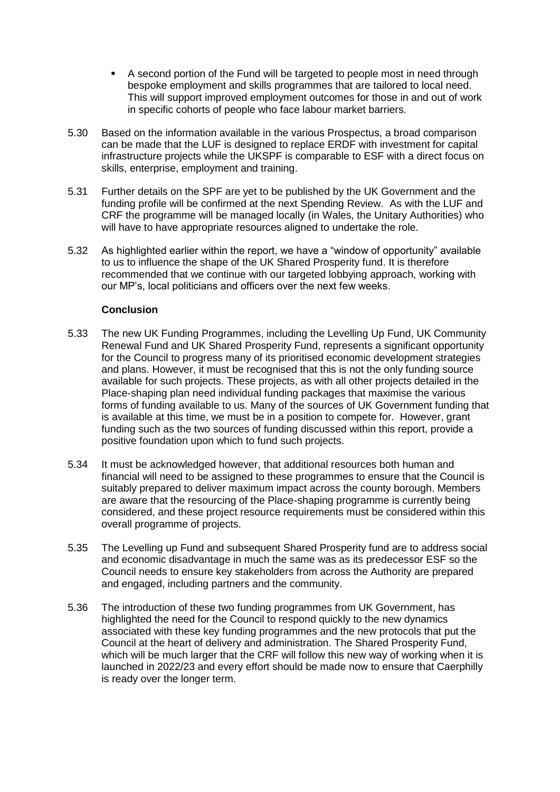- A second portion of the Fund will be targeted to people most in need through bespoke employment and skills programmes that are tailored to local need. This will support improved employment outcomes for those in and out of work in specific cohorts of people who face labour market barriers.
- 5.30 Based on the information available in the various Prospectus, a broad comparison can be made that the LUF is designed to replace ERDF with investment for capital infrastructure projects while the UKSPF is comparable to ESF with a direct focus on skills, enterprise, employment and training.
- 5.31 Further details on the SPF are yet to be published by the UK Government and the funding profile will be confirmed at the next Spending Review. As with the LUF and CRF the programme will be managed locally (in Wales, the Unitary Authorities) who will have to have appropriate resources aligned to undertake the role.
- 5.32 As highlighted earlier within the report, we have a "window of opportunity" available to us to influence the shape of the UK Shared Prosperity fund. It is therefore recommended that we continue with our targeted lobbying approach, working with our MP's, local politicians and officers over the next few weeks.

# **Conclusion**

- 5.33 The new UK Funding Programmes, including the Levelling Up Fund, UK Community Renewal Fund and UK Shared Prosperity Fund, represents a significant opportunity for the Council to progress many of its prioritised economic development strategies and plans. However, it must be recognised that this is not the only funding source available for such projects. These projects, as with all other projects detailed in the Place-shaping plan need individual funding packages that maximise the various forms of funding available to us. Many of the sources of UK Government funding that is available at this time, we must be in a position to compete for. However, grant funding such as the two sources of funding discussed within this report, provide a positive foundation upon which to fund such projects.
- 5.34 It must be acknowledged however, that additional resources both human and financial will need to be assigned to these programmes to ensure that the Council is suitably prepared to deliver maximum impact across the county borough. Members are aware that the resourcing of the Place-shaping programme is currently being considered, and these project resource requirements must be considered within this overall programme of projects.
- 5.35 The Levelling up Fund and subsequent Shared Prosperity fund are to address social and economic disadvantage in much the same was as its predecessor ESF so the Council needs to ensure key stakeholders from across the Authority are prepared and engaged, including partners and the community.
- 5.36 The introduction of these two funding programmes from UK Government, has highlighted the need for the Council to respond quickly to the new dynamics associated with these key funding programmes and the new protocols that put the Council at the heart of delivery and administration. The Shared Prosperity Fund, which will be much larger that the CRF will follow this new way of working when it is launched in 2022/23 and every effort should be made now to ensure that Caerphilly is ready over the longer term.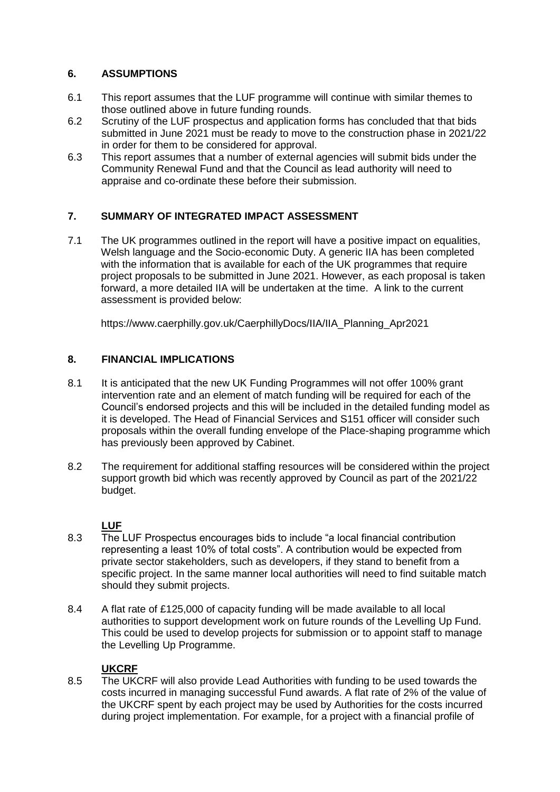# **6. ASSUMPTIONS**

- 6.1 This report assumes that the LUF programme will continue with similar themes to those outlined above in future funding rounds.
- 6.2 Scrutiny of the LUF prospectus and application forms has concluded that that bids submitted in June 2021 must be ready to move to the construction phase in 2021/22 in order for them to be considered for approval.
- 6.3 This report assumes that a number of external agencies will submit bids under the Community Renewal Fund and that the Council as lead authority will need to appraise and co-ordinate these before their submission.

# **7. SUMMARY OF INTEGRATED IMPACT ASSESSMENT**

7.1 The UK programmes outlined in the report will have a positive impact on equalities, Welsh language and the Socio-economic Duty. A generic IIA has been completed with the information that is available for each of the UK programmes that require project proposals to be submitted in June 2021. However, as each proposal is taken forward, a more detailed IIA will be undertaken at the time. A link to the current assessment is provided below:

[https://www.caerphilly.gov.uk/CaerphillyDocs/IIA/IIA\\_Planning\\_Apr2021](https://www.caerphilly.gov.uk/CaerphillyDocs/IIA/IIA_Planning_Apr2021)

# **8. FINANCIAL IMPLICATIONS**

- 8.1 It is anticipated that the new UK Funding Programmes will not offer 100% grant intervention rate and an element of match funding will be required for each of the Council's endorsed projects and this will be included in the detailed funding model as it is developed. The Head of Financial Services and S151 officer will consider such proposals within the overall funding envelope of the Place-shaping programme which has previously been approved by Cabinet.
- 8.2 The requirement for additional staffing resources will be considered within the project support growth bid which was recently approved by Council as part of the 2021/22 budget.

# **LUF**

- 8.3 The LUF Prospectus encourages bids to include "a local financial contribution representing a least 10% of total costs". A contribution would be expected from private sector stakeholders, such as developers, if they stand to benefit from a specific project. In the same manner local authorities will need to find suitable match should they submit projects.
- 8.4 A flat rate of £125,000 of capacity funding will be made available to all local authorities to support development work on future rounds of the Levelling Up Fund. This could be used to develop projects for submission or to appoint staff to manage the Levelling Up Programme.

# **UKCRF**

8.5 The UKCRF will also provide Lead Authorities with funding to be used towards the costs incurred in managing successful Fund awards. A flat rate of 2% of the value of the UKCRF spent by each project may be used by Authorities for the costs incurred during project implementation. For example, for a project with a financial profile of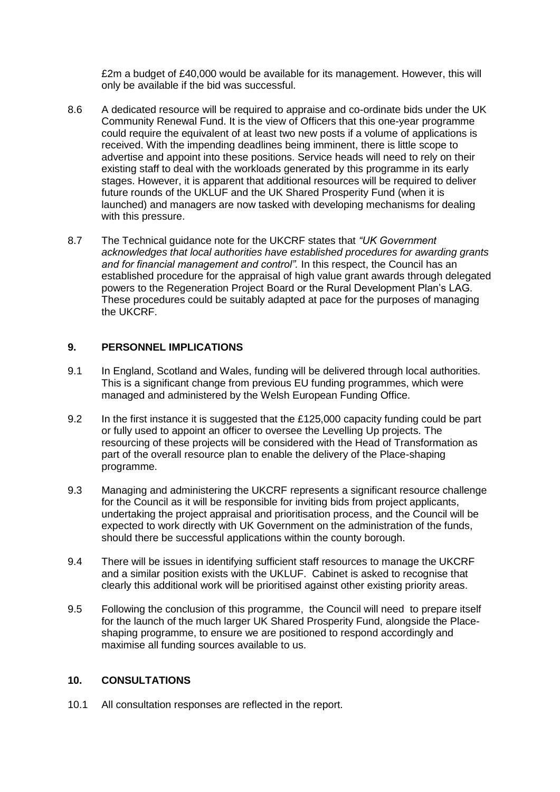£2m a budget of £40,000 would be available for its management. However, this will only be available if the bid was successful.

- 8.6 A dedicated resource will be required to appraise and co-ordinate bids under the UK Community Renewal Fund. It is the view of Officers that this one-year programme could require the equivalent of at least two new posts if a volume of applications is received. With the impending deadlines being imminent, there is little scope to advertise and appoint into these positions. Service heads will need to rely on their existing staff to deal with the workloads generated by this programme in its early stages. However, it is apparent that additional resources will be required to deliver future rounds of the UKLUF and the UK Shared Prosperity Fund (when it is launched) and managers are now tasked with developing mechanisms for dealing with this pressure.
- 8.7 The Technical guidance note for the UKCRF states that *"UK Government acknowledges that local authorities have established procedures for awarding grants and for financial management and control".* In this respect, the Council has an established procedure for the appraisal of high value grant awards through delegated powers to the Regeneration Project Board or the Rural Development Plan's LAG. These procedures could be suitably adapted at pace for the purposes of managing the UKCRF.

## **9. PERSONNEL IMPLICATIONS**

- 9.1 In England, Scotland and Wales, funding will be delivered through local authorities. This is a significant change from previous EU funding programmes, which were managed and administered by the Welsh European Funding Office.
- 9.2 In the first instance it is suggested that the £125,000 capacity funding could be part or fully used to appoint an officer to oversee the Levelling Up projects. The resourcing of these projects will be considered with the Head of Transformation as part of the overall resource plan to enable the delivery of the Place-shaping programme.
- 9.3 Managing and administering the UKCRF represents a significant resource challenge for the Council as it will be responsible for inviting bids from project applicants, undertaking the project appraisal and prioritisation process, and the Council will be expected to work directly with UK Government on the administration of the funds, should there be successful applications within the county borough.
- 9.4 There will be issues in identifying sufficient staff resources to manage the UKCRF and a similar position exists with the UKLUF. Cabinet is asked to recognise that clearly this additional work will be prioritised against other existing priority areas.
- 9.5 Following the conclusion of this programme, the Council will need to prepare itself for the launch of the much larger UK Shared Prosperity Fund, alongside the Placeshaping programme, to ensure we are positioned to respond accordingly and maximise all funding sources available to us.

### **10. CONSULTATIONS**

10.1 All consultation responses are reflected in the report.